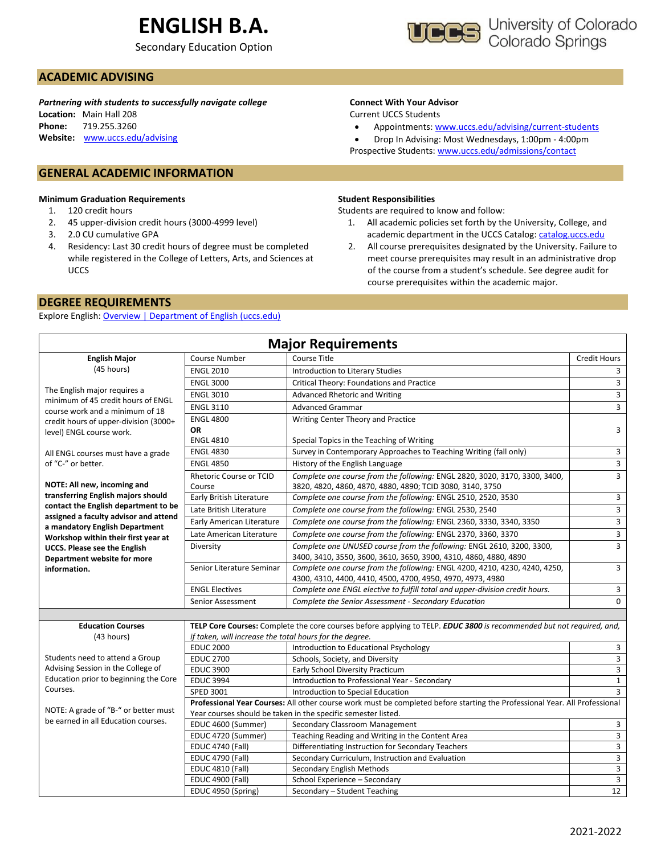# **ENGLISH B.A.**

Secondary Education Option



## **ACADEMIC ADVISING**

*Partnering with students to successfully navigate college* **Location:** Main Hall 208 **Phone:** 719.255.3260 **Website:** [www.uccs.edu/advising](http://www.uccs.edu/advising)

## **GENERAL ACADEMIC INFORMATION**

#### **Minimum Graduation Requirements**

- 1. 120 credit hours
- 2. 45 upper-division credit hours (3000-4999 level)
- 3. 2.0 CU cumulative GPA
- 4. Residency: Last 30 credit hours of degree must be completed while registered in the College of Letters, Arts, and Sciences at UCCS

## **DEGREE REQUIREMENTS**

Explore English: [Overview | Department of English \(uccs.edu\)](https://english.uccs.edu/overview)

### **Connect With Your Advisor**

Current UCCS Students

• Appointments: [www.uccs.edu/advising/current-students](http://www.uccs.edu/advising/current-students)

• Drop In Advising: Most Wednesdays, 1:00pm - 4:00pm Prospective Students: [www.uccs.edu/admissions/contact](http://www.uccs.edu/admissions/contact)

#### **Student Responsibilities**

Students are required to know and follow:

- 1. All academic policies set forth by the University, College, and academic department in the UCCS Catalog[: catalog.uccs.edu](file://///columbia/dept/Success/Advising%20Guides/197%20Advising%20Guides/catalog.uccs.edu)
- 2. All course prerequisites designated by the University. Failure to meet course prerequisites may result in an administrative drop of the course from a student's schedule. See degree audit for course prerequisites within the academic major.

|                                                                                                                                                                                                                            |                                                    | <b>Major Requirements</b>                                                                                                                |                     |  |  |  |  |
|----------------------------------------------------------------------------------------------------------------------------------------------------------------------------------------------------------------------------|----------------------------------------------------|------------------------------------------------------------------------------------------------------------------------------------------|---------------------|--|--|--|--|
| <b>English Major</b>                                                                                                                                                                                                       | Course Number                                      | <b>Course Title</b>                                                                                                                      | <b>Credit Hours</b> |  |  |  |  |
| (45 hours)                                                                                                                                                                                                                 | <b>ENGL 2010</b>                                   | Introduction to Literary Studies                                                                                                         | 3                   |  |  |  |  |
|                                                                                                                                                                                                                            | <b>ENGL 3000</b>                                   | Critical Theory: Foundations and Practice                                                                                                | 3                   |  |  |  |  |
| The English major requires a                                                                                                                                                                                               | <b>ENGL 3010</b>                                   | Advanced Rhetoric and Writing                                                                                                            | 3                   |  |  |  |  |
| minimum of 45 credit hours of ENGL<br>course work and a minimum of 18                                                                                                                                                      | <b>ENGL 3110</b>                                   | <b>Advanced Grammar</b>                                                                                                                  | $\overline{3}$      |  |  |  |  |
| credit hours of upper-division (3000+                                                                                                                                                                                      | <b>ENGL 4800</b>                                   | Writing Center Theory and Practice                                                                                                       |                     |  |  |  |  |
| level) ENGL course work.                                                                                                                                                                                                   | OR                                                 |                                                                                                                                          | 3                   |  |  |  |  |
|                                                                                                                                                                                                                            | <b>ENGL 4810</b>                                   | Special Topics in the Teaching of Writing                                                                                                |                     |  |  |  |  |
| All ENGL courses must have a grade                                                                                                                                                                                         | <b>ENGL 4830</b>                                   | Survey in Contemporary Approaches to Teaching Writing (fall only)                                                                        | 3                   |  |  |  |  |
| of "C-" or better.                                                                                                                                                                                                         | <b>ENGL 4850</b>                                   | History of the English Language                                                                                                          | 3                   |  |  |  |  |
|                                                                                                                                                                                                                            | <b>Rhetoric Course or TCID</b>                     | Complete one course from the following: ENGL 2820, 3020, 3170, 3300, 3400,                                                               | 3                   |  |  |  |  |
| NOTE: All new, incoming and                                                                                                                                                                                                | Course                                             | 3820, 4820, 4860, 4870, 4880, 4890; TCID 3080, 3140, 3750                                                                                |                     |  |  |  |  |
| transferring English majors should                                                                                                                                                                                         | Early British Literature                           | Complete one course from the following: ENGL 2510, 2520, 3530                                                                            | 3                   |  |  |  |  |
| contact the English department to be<br>assigned a faculty advisor and attend                                                                                                                                              | Late British Literature                            | Complete one course from the following: ENGL 2530, 2540                                                                                  | 3                   |  |  |  |  |
| a mandatory English Department                                                                                                                                                                                             | Early American Literature                          | Complete one course from the following: ENGL 2360, 3330, 3340, 3350                                                                      | 3                   |  |  |  |  |
| Workshop within their first year at                                                                                                                                                                                        | Late American Literature                           | Complete one course from the following: ENGL 2370, 3360, 3370                                                                            | 3                   |  |  |  |  |
| <b>UCCS. Please see the English</b>                                                                                                                                                                                        | Diversity                                          | Complete one UNUSED course from the following: ENGL 2610, 3200, 3300,                                                                    | 3                   |  |  |  |  |
| Department website for more                                                                                                                                                                                                |                                                    | 3400, 3410, 3550, 3600, 3610, 3650, 3900, 4310, 4860, 4880, 4890                                                                         |                     |  |  |  |  |
| information.                                                                                                                                                                                                               | Senior Literature Seminar                          | Complete one course from the following: ENGL 4200, 4210, 4230, 4240, 4250,<br>4300, 4310, 4400, 4410, 4500, 4700, 4950, 4970, 4973, 4980 | 3                   |  |  |  |  |
|                                                                                                                                                                                                                            | <b>ENGL Electives</b>                              | Complete one ENGL elective to fulfill total and upper-division credit hours.                                                             | 3                   |  |  |  |  |
|                                                                                                                                                                                                                            | Senior Assessment                                  | Complete the Senior Assessment - Secondary Education                                                                                     | 0                   |  |  |  |  |
|                                                                                                                                                                                                                            |                                                    |                                                                                                                                          |                     |  |  |  |  |
| TELP Core Courses: Complete the core courses before applying to TELP. EDUC 3800 is recommended but not required, and,<br><b>Education Courses</b><br>(43 hours)<br>if taken, will increase the total hours for the degree. |                                                    |                                                                                                                                          |                     |  |  |  |  |
|                                                                                                                                                                                                                            | <b>EDUC 2000</b>                                   | Introduction to Educational Psychology                                                                                                   | 3                   |  |  |  |  |
| Students need to attend a Group                                                                                                                                                                                            | <b>EDUC 2700</b>                                   | Schools, Society, and Diversity                                                                                                          | 3                   |  |  |  |  |
| Advising Session in the College of                                                                                                                                                                                         | <b>EDUC 3900</b>                                   | Early School Diversity Practicum                                                                                                         | 3                   |  |  |  |  |
| Education prior to beginning the Core                                                                                                                                                                                      | <b>EDUC 3994</b>                                   | Introduction to Professional Year - Secondary                                                                                            | $\mathbf 1$         |  |  |  |  |
| Courses.                                                                                                                                                                                                                   | SPED 3001                                          | Introduction to Special Education                                                                                                        | 3                   |  |  |  |  |
| Professional Year Courses: All other course work must be completed before starting the Professional Year. All Professional<br>NOTE: A grade of "B-" or better must                                                         |                                                    |                                                                                                                                          |                     |  |  |  |  |
| Year courses should be taken in the specific semester listed.<br>be earned in all Education courses.                                                                                                                       |                                                    |                                                                                                                                          |                     |  |  |  |  |
|                                                                                                                                                                                                                            | EDUC 4600 (Summer)                                 | Secondary Classroom Management                                                                                                           | 3                   |  |  |  |  |
|                                                                                                                                                                                                                            | EDUC 4720 (Summer)                                 | Teaching Reading and Writing in the Content Area                                                                                         | 3                   |  |  |  |  |
|                                                                                                                                                                                                                            | <b>EDUC 4740 (Fall)</b>                            | Differentiating Instruction for Secondary Teachers<br>Secondary Curriculum, Instruction and Evaluation                                   | 3<br>3              |  |  |  |  |
|                                                                                                                                                                                                                            | <b>EDUC 4790 (Fall)</b><br><b>EDUC 4810 (Fall)</b> | Secondary English Methods                                                                                                                | 3                   |  |  |  |  |
|                                                                                                                                                                                                                            | <b>EDUC 4900 (Fall)</b>                            | School Experience - Secondary                                                                                                            | 3                   |  |  |  |  |
|                                                                                                                                                                                                                            | EDUC 4950 (Spring)                                 | Secondary - Student Teaching                                                                                                             | 12                  |  |  |  |  |
|                                                                                                                                                                                                                            |                                                    |                                                                                                                                          |                     |  |  |  |  |